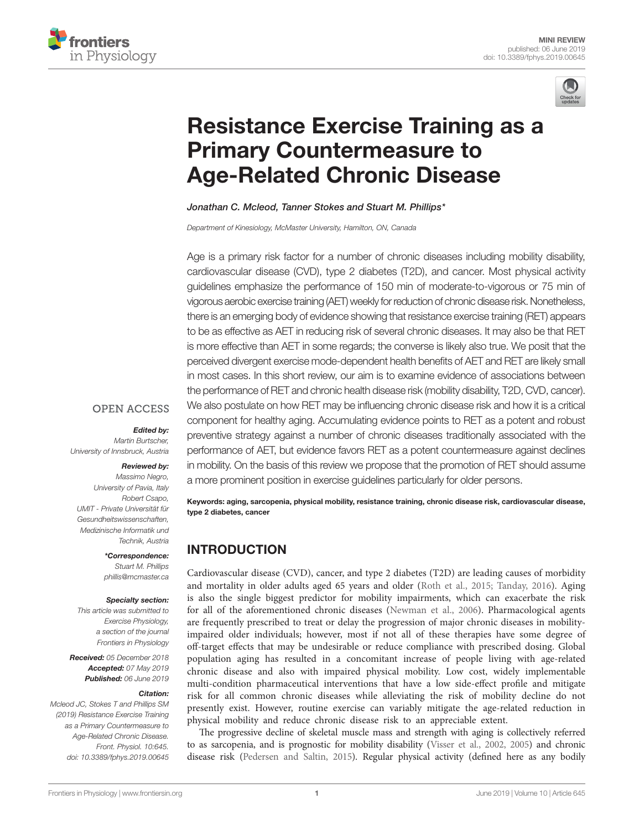



# [Resistance Exercise Training as a](https://www.frontiersin.org/articles/10.3389/fphys.2019.00645/full)  [Primary Countermeasure to](https://www.frontiersin.org/articles/10.3389/fphys.2019.00645/full)  [Age-Related Chronic Disease](https://www.frontiersin.org/articles/10.3389/fphys.2019.00645/full)

*[Jonathan C. Mcleod](https://loop.frontiersin.org/people/653318/overview), [Tanner Stokes](https://loop.frontiersin.org/people/738322/overview) and [Stuart M. Phillips\\*](https://loop.frontiersin.org/people/214674/overview)*

*Department of Kinesiology, McMaster University, Hamilton, ON, Canada*

Age is a primary risk factor for a number of chronic diseases including mobility disability, cardiovascular disease (CVD), type 2 diabetes (T2D), and cancer. Most physical activity guidelines emphasize the performance of 150 min of moderate-to-vigorous or 75 min of vigorous aerobic exercise training (AET) weekly for reduction of chronic disease risk. Nonetheless, there is an emerging body of evidence showing that resistance exercise training (RET) appears to be as effective as AET in reducing risk of several chronic diseases. It may also be that RET is more effective than AET in some regards; the converse is likely also true. We posit that the perceived divergent exercise mode-dependent health benefits of AET and RET are likely small in most cases. In this short review, our aim is to examine evidence of associations between the performance of RET and chronic health disease risk (mobility disability, T2D, CVD, cancer). We also postulate on how RET may be influencing chronic disease risk and how it is a critical component for healthy aging. Accumulating evidence points to RET as a potent and robust preventive strategy against a number of chronic diseases traditionally associated with the performance of AET, but evidence favors RET as a potent countermeasure against declines in mobility. On the basis of this review we propose that the promotion of RET should assume a more prominent position in exercise guidelines particularly for older persons.

Keywords: aging, sarcopenia, physical mobility, resistance training, chronic disease risk, cardiovascular disease, type 2 diabetes, cancer

## INTRODUCTION

Cardiovascular disease (CVD), cancer, and type 2 diabetes (T2D) are leading causes of morbidity and mortality in older adults aged 65 years and older [\(Roth et al., 2015](#page-9-0); [Tanday, 2016\)](#page-10-0). Aging is also the single biggest predictor for mobility impairments, which can exacerbate the risk for all of the aforementioned chronic diseases [\(Newman et al., 2006\)](#page-9-1). Pharmacological agents are frequently prescribed to treat or delay the progression of major chronic diseases in mobilityimpaired older individuals; however, most if not all of these therapies have some degree of off-target effects that may be undesirable or reduce compliance with prescribed dosing. Global population aging has resulted in a concomitant increase of people living with age-related chronic disease and also with impaired physical mobility. Low cost, widely implementable multi-condition pharmaceutical interventions that have a low side-effect profile and mitigate risk for all common chronic diseases while alleviating the risk of mobility decline do not presently exist. However, routine exercise can variably mitigate the age-related reduction in physical mobility and reduce chronic disease risk to an appreciable extent.

The progressive decline of skeletal muscle mass and strength with aging is collectively referred to as sarcopenia, and is prognostic for mobility disability [\(Visser et al., 2002](#page-10-1), [2005\)](#page-10-2) and chronic disease risk [\(Pedersen and Saltin, 2015\)](#page-9-2). Regular physical activity (defined here as any bodily

#### **OPEN ACCESS**

#### *Edited by:*

*Martin Burtscher, University of Innsbruck, Austria*

#### *Reviewed by:*

*Massimo Negro, University of Pavia, Italy Robert Csapo, UMIT - Private Universität für Gesundheitswissenschaften, Medizinische Informatik und Technik, Austria*

> *\*Correspondence: Stuart M. Phillips [phillis@mcmaster.ca](mailto:phillis@mcmaster.ca)*

#### *Specialty section:*

*This article was submitted to Exercise Physiology, a section of the journal Frontiers in Physiology*

*Received: 05 December 2018 Accepted: 07 May 2019 Published: 06 June 2019*

#### *Citation:*

*Mcleod JC, Stokes T and Phillips SM (2019) Resistance Exercise Training as a Primary Countermeasure to Age-Related Chronic Disease. Front. Physiol. 10:645. [doi: 10.3389/fphys.2019.00645](https://doi.org/10.3389/fphys.2019.00645)*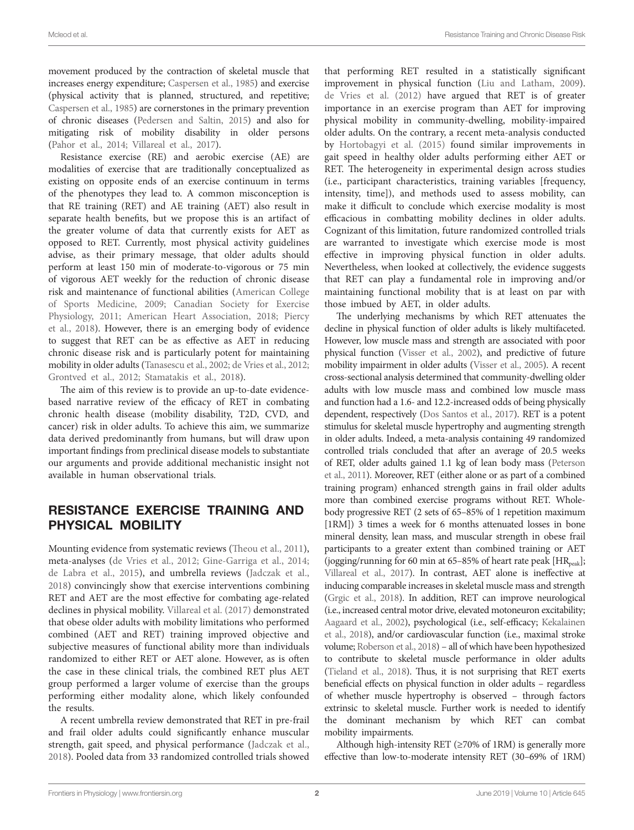movement produced by the contraction of skeletal muscle that increases energy expenditure; [Caspersen et al., 1985\)](#page-7-0) and exercise (physical activity that is planned, structured, and repetitive; [Caspersen et al., 1985\)](#page-7-0) are cornerstones in the primary prevention of chronic diseases [\(Pedersen and Saltin, 2015\)](#page-9-2) and also for mitigating risk of mobility disability in older persons ([Pahor et al., 2014;](#page-9-3) [Villareal et al., 2017](#page-10-3)).

Resistance exercise (RE) and aerobic exercise (AE) are modalities of exercise that are traditionally conceptualized as existing on opposite ends of an exercise continuum in terms of the phenotypes they lead to. A common misconception is that RE training (RET) and AE training (AET) also result in separate health benefits, but we propose this is an artifact of the greater volume of data that currently exists for AET as opposed to RET. Currently, most physical activity guidelines advise, as their primary message, that older adults should perform at least 150 min of moderate-to-vigorous or 75 min of vigorous AET weekly for the reduction of chronic disease risk and maintenance of functional abilities [\(American College](#page-7-1)  [of Sports Medicine, 2009;](#page-7-1) [Canadian Society for Exercise](#page-7-2)  [Physiology, 2011;](#page-7-2) [American Heart Association, 2018](#page-7-3); [Piercy](#page-9-4)  [et al., 2018\)](#page-9-4). However, there is an emerging body of evidence to suggest that RET can be as effective as AET in reducing chronic disease risk and is particularly potent for maintaining mobility in older adults [\(Tanasescu et al., 2002](#page-10-4); [de Vries et al., 2012](#page-8-0); [Grontved et al., 2012;](#page-8-1) [Stamatakis et al., 2018](#page-10-5)).

The aim of this review is to provide an up-to-date evidencebased narrative review of the efficacy of RET in combating chronic health disease (mobility disability, T2D, CVD, and cancer) risk in older adults. To achieve this aim, we summarize data derived predominantly from humans, but will draw upon important findings from preclinical disease models to substantiate our arguments and provide additional mechanistic insight not available in human observational trials.

## RESISTANCE EXERCISE TRAINING AND PHYSICAL MOBILITY

Mounting evidence from systematic reviews [\(Theou et al., 2011](#page-10-6)), meta-analyses ([de Vries et al., 2012;](#page-8-0) [Gine-Garriga et al., 2014](#page-8-2); [de Labra et al., 2015\)](#page-8-3), and umbrella reviews ([Jadczak et al.,](#page-8-4)  [2018\)](#page-8-4) convincingly show that exercise interventions combining RET and AET are the most effective for combating age-related declines in physical mobility. [Villareal et al. \(2017\)](#page-10-3) demonstrated that obese older adults with mobility limitations who performed combined (AET and RET) training improved objective and subjective measures of functional ability more than individuals randomized to either RET or AET alone. However, as is often the case in these clinical trials, the combined RET plus AET group performed a larger volume of exercise than the groups performing either modality alone, which likely confounded the results.

A recent umbrella review demonstrated that RET in pre-frail and frail older adults could significantly enhance muscular strength, gait speed, and physical performance [\(Jadczak et al.,](#page-8-4)  [2018\)](#page-8-4). Pooled data from 33 randomized controlled trials showed

that performing RET resulted in a statistically significant improvement in physical function ([Liu and Latham, 2009](#page-9-5)). [de Vries et al. \(2012\)](#page-8-0) have argued that RET is of greater importance in an exercise program than AET for improving physical mobility in community-dwelling, mobility-impaired older adults. On the contrary, a recent meta-analysis conducted by [Hortobagyi et al. \(2015\)](#page-8-5) found similar improvements in gait speed in healthy older adults performing either AET or RET. The heterogeneity in experimental design across studies (i.e., participant characteristics, training variables [frequency, intensity, time]), and methods used to assess mobility, can make it difficult to conclude which exercise modality is most efficacious in combatting mobility declines in older adults. Cognizant of this limitation, future randomized controlled trials are warranted to investigate which exercise mode is most effective in improving physical function in older adults. Nevertheless, when looked at collectively, the evidence suggests that RET can play a fundamental role in improving and/or maintaining functional mobility that is at least on par with those imbued by AET, in older adults.

The underlying mechanisms by which RET attenuates the decline in physical function of older adults is likely multifaceted. However, low muscle mass and strength are associated with poor physical function ([Visser et al., 2002\)](#page-10-1), and predictive of future mobility impairment in older adults ([Visser et al., 2005\)](#page-10-2). A recent cross-sectional analysis determined that community-dwelling older adults with low muscle mass and combined low muscle mass and function had a 1.6- and 12.2-increased odds of being physically dependent, respectively [\(Dos Santos et al., 2017\)](#page-8-6). RET is a potent stimulus for skeletal muscle hypertrophy and augmenting strength in older adults. Indeed, a meta-analysis containing 49 randomized controlled trials concluded that after an average of 20.5 weeks of RET, older adults gained 1.1 kg of lean body mass [\(Peterson](#page-9-6)  [et al., 2011](#page-9-6)). Moreover, RET (either alone or as part of a combined training program) enhanced strength gains in frail older adults more than combined exercise programs without RET. Wholebody progressive RET (2 sets of 65–85% of 1 repetition maximum [1RM]) 3 times a week for 6 months attenuated losses in bone mineral density, lean mass, and muscular strength in obese frail participants to a greater extent than combined training or AET (jogging/running for 60 min at 65–85% of heart rate peak [ $HR_{peak}$ ]; [Villareal et al., 2017](#page-10-3)). In contrast, AET alone is ineffective at inducing comparable increases in skeletal muscle mass and strength [\(Grgic et al., 2018\)](#page-8-7). In addition, RET can improve neurological (i.e., increased central motor drive, elevated motoneuron excitability; [Aagaard et al., 2002](#page-7-4)), psychological (i.e., self-efficacy; [Kekalainen](#page-8-8)  [et al., 2018\)](#page-8-8), and/or cardiovascular function (i.e., maximal stroke volume; [Roberson et al., 2018\)](#page-9-7) – all of which have been hypothesized to contribute to skeletal muscle performance in older adults [\(Tieland et al., 2018\)](#page-10-7). Thus, it is not surprising that RET exerts beneficial effects on physical function in older adults – regardless of whether muscle hypertrophy is observed – through factors extrinsic to skeletal muscle. Further work is needed to identify the dominant mechanism by which RET can combat mobility impairments.

Although high-intensity RET ( $\geq$ 70% of 1RM) is generally more effective than low-to-moderate intensity RET (30–69% of 1RM)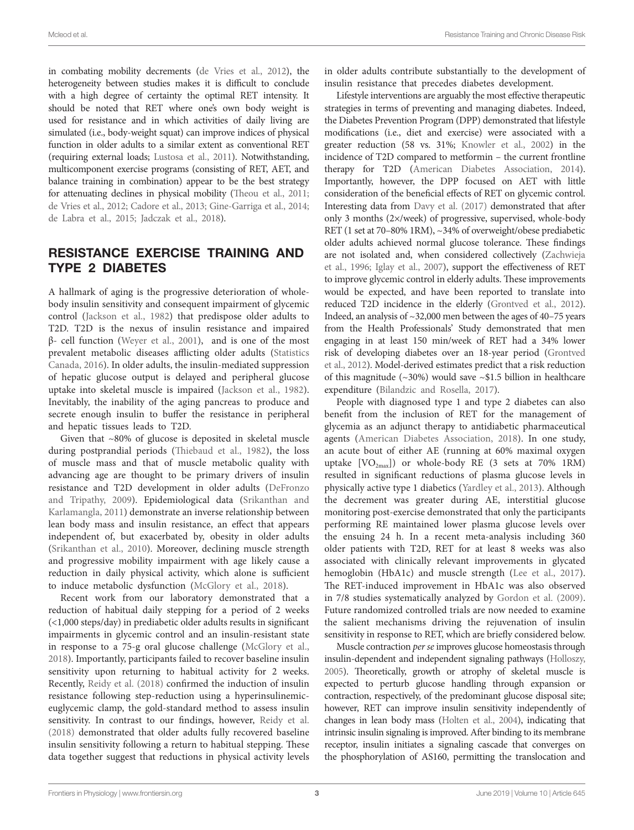in combating mobility decrements [\(de Vries et al., 2012\)](#page-8-0), the heterogeneity between studies makes it is difficult to conclude with a high degree of certainty the optimal RET intensity. It should be noted that RET where one's own body weight is used for resistance and in which activities of daily living are simulated (i.e., body-weight squat) can improve indices of physical function in older adults to a similar extent as conventional RET (requiring external loads; [Lustosa et al., 2011\)](#page-9-8). Notwithstanding, multicomponent exercise programs (consisting of RET, AET, and balance training in combination) appear to be the best strategy for attenuating declines in physical mobility [\(Theou et al., 2011](#page-10-6); [de Vries et al., 2012](#page-8-0); [Cadore et al., 2013](#page-7-5); [Gine-Garriga et al., 2014](#page-8-2); [de Labra et al., 2015](#page-8-3); [Jadczak et al., 2018](#page-8-4)).

### RESISTANCE EXERCISE TRAINING AND TYPE 2 DIABETES

A hallmark of aging is the progressive deterioration of wholebody insulin sensitivity and consequent impairment of glycemic control ([Jackson et al., 1982](#page-8-9)) that predispose older adults to T2D. T2D is the nexus of insulin resistance and impaired  $β$ - cell function (Weyer et al., 2001), and is one of the most prevalent metabolic diseases afflicting older adults [\(Statistics](#page-10-9)  [Canada, 2016\)](#page-10-9). In older adults, the insulin-mediated suppression of hepatic glucose output is delayed and peripheral glucose uptake into skeletal muscle is impaired ([Jackson et al., 1982](#page-8-9)). Inevitably, the inability of the aging pancreas to produce and secrete enough insulin to buffer the resistance in peripheral and hepatic tissues leads to T2D.

Given that ~80% of glucose is deposited in skeletal muscle during postprandial periods ([Thiebaud et al., 1982\)](#page-10-10), the loss of muscle mass and that of muscle metabolic quality with advancing age are thought to be primary drivers of insulin resistance and T2D development in older adults [\(DeFronzo](#page-8-10)  [and Tripathy, 2009\)](#page-8-10). Epidemiological data ([Srikanthan and](#page-10-11)  [Karlamangla, 2011](#page-10-11)) demonstrate an inverse relationship between lean body mass and insulin resistance, an effect that appears independent of, but exacerbated by, obesity in older adults ([Srikanthan et al., 2010\)](#page-10-12). Moreover, declining muscle strength and progressive mobility impairment with age likely cause a reduction in daily physical activity, which alone is sufficient to induce metabolic dysfunction [\(McGlory et al., 2018](#page-9-9)).

Recent work from our laboratory demonstrated that a reduction of habitual daily stepping for a period of 2 weeks (<1,000 steps/day) in prediabetic older adults results in significant impairments in glycemic control and an insulin-resistant state in response to a 75-g oral glucose challenge [\(McGlory et al.,](#page-9-9)  [2018\)](#page-9-9). Importantly, participants failed to recover baseline insulin sensitivity upon returning to habitual activity for 2 weeks. Recently, [Reidy et al. \(2018\)](#page-9-10) confirmed the induction of insulin resistance following step-reduction using a hyperinsulinemiceuglycemic clamp, the gold-standard method to assess insulin sensitivity. In contrast to our findings, however, [Reidy et al.](#page-9-10)  [\(2018\)](#page-9-10) demonstrated that older adults fully recovered baseline insulin sensitivity following a return to habitual stepping. These data together suggest that reductions in physical activity levels in older adults contribute substantially to the development of insulin resistance that precedes diabetes development.

Lifestyle interventions are arguably the most effective therapeutic strategies in terms of preventing and managing diabetes. Indeed, the Diabetes Prevention Program (DPP) demonstrated that lifestyle modifications (i.e., diet and exercise) were associated with a greater reduction (58 vs. 31%; [Knowler et al., 2002\)](#page-9-11) in the incidence of T2D compared to metformin – the current frontline therapy for T2D [\(American Diabetes Association, 2014\)](#page-7-6). Importantly, however, the DPP focused on AET with little consideration of the beneficial effects of RET on glycemic control. Interesting data from [Davy et al. \(2017\)](#page-8-11) demonstrated that after only 3 months (2×/week) of progressive, supervised, whole-body RET (1 set at 70–80% 1RM), ~34% of overweight/obese prediabetic older adults achieved normal glucose tolerance. These findings are not isolated and, when considered collectively [\(Zachwieja](#page-10-13)  [et al., 1996;](#page-10-13) [Iglay et al., 2007\)](#page-8-12), support the effectiveness of RET to improve glycemic control in elderly adults. These improvements would be expected, and have been reported to translate into reduced T2D incidence in the elderly [\(Grontved et al., 2012\)](#page-8-1). Indeed, an analysis of ~32,000 men between the ages of 40–75 years from the Health Professionals' Study demonstrated that men engaging in at least 150 min/week of RET had a 34% lower risk of developing diabetes over an 18-year period [\(Grontved](#page-8-1)  [et al., 2012](#page-8-1)). Model-derived estimates predict that a risk reduction of this magnitude  $(\sim 30\%)$  would save  $\sim$ \$1.5 billion in healthcare expenditure [\(Bilandzic and Rosella, 2017\)](#page-7-7).

People with diagnosed type 1 and type 2 diabetes can also benefit from the inclusion of RET for the management of glycemia as an adjunct therapy to antidiabetic pharmaceutical agents ([American Diabetes Association, 2018](#page-7-8)). In one study, an acute bout of either AE (running at 60% maximal oxygen uptake  $[VO<sub>2max</sub>]$  or whole-body RE (3 sets at 70% 1RM) resulted in significant reductions of plasma glucose levels in physically active type 1 diabetics [\(Yardley et al., 2013\)](#page-10-14). Although the decrement was greater during AE, interstitial glucose monitoring post-exercise demonstrated that only the participants performing RE maintained lower plasma glucose levels over the ensuing 24 h. In a recent meta-analysis including 360 older patients with T2D, RET for at least 8 weeks was also associated with clinically relevant improvements in glycated hemoglobin (HbA1c) and muscle strength (Lee et al., 2017). The RET-induced improvement in HbA1c was also observed in 7/8 studies systematically analyzed by [Gordon et al. \(2009\).](#page-8-13) Future randomized controlled trials are now needed to examine the salient mechanisms driving the rejuvenation of insulin sensitivity in response to RET, which are briefly considered below.

Muscle contraction *per se* improves glucose homeostasis through insulin-dependent and independent signaling pathways [\(Holloszy,](#page-8-14)  [2005](#page-8-14)). Theoretically, growth or atrophy of skeletal muscle is expected to perturb glucose handling through expansion or contraction, respectively, of the predominant glucose disposal site; however, RET can improve insulin sensitivity independently of changes in lean body mass [\(Holten et al., 2004](#page-8-15)), indicating that intrinsic insulin signaling is improved. After binding to its membrane receptor, insulin initiates a signaling cascade that converges on the phosphorylation of AS160, permitting the translocation and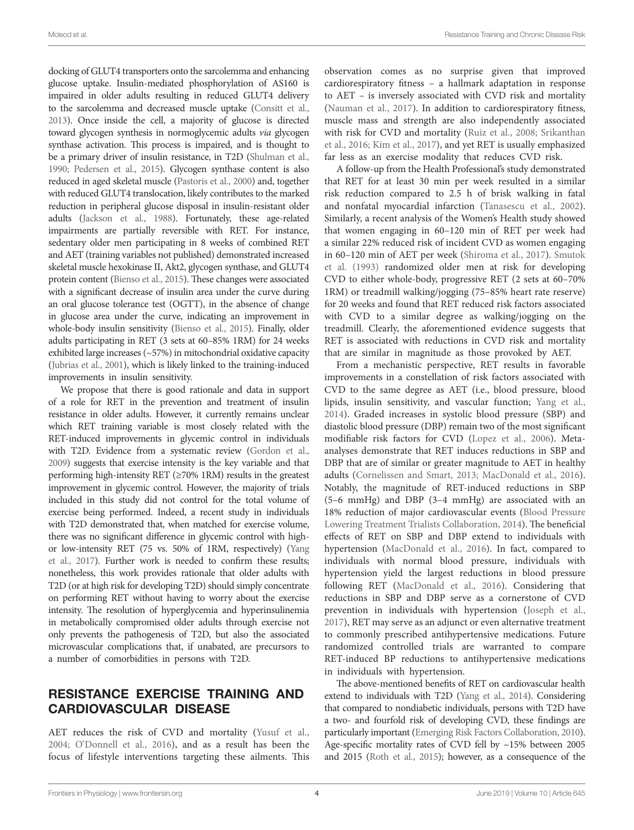docking of GLUT4 transporters onto the sarcolemma and enhancing glucose uptake. Insulin-mediated phosphorylation of AS160 is impaired in older adults resulting in reduced GLUT4 delivery to the sarcolemma and decreased muscle uptake [\(Consitt et al.,](#page-7-9)  [2013\)](#page-7-9). Once inside the cell, a majority of glucose is directed toward glycogen synthesis in normoglycemic adults *via* glycogen synthase activation. This process is impaired, and is thought to be a primary driver of insulin resistance, in T2D ([Shulman et al.,](#page-9-13)  [1990;](#page-9-13) [Pedersen et al., 2015](#page-9-14)). Glycogen synthase content is also reduced in aged skeletal muscle [\(Pastoris et al., 2000](#page-9-15)) and, together with reduced GLUT4 translocation, likely contributes to the marked reduction in peripheral glucose disposal in insulin-resistant older adults ([Jackson et al., 1988\)](#page-8-16). Fortunately, these age-related impairments are partially reversible with RET. For instance, sedentary older men participating in 8 weeks of combined RET and AET (training variables not published) demonstrated increased skeletal muscle hexokinase II, Akt2, glycogen synthase, and GLUT4 protein content ([Bienso et al., 2015](#page-7-10)). These changes were associated with a significant decrease of insulin area under the curve during an oral glucose tolerance test (OGTT), in the absence of change in glucose area under the curve, indicating an improvement in whole-body insulin sensitivity [\(Bienso et al., 2015](#page-7-10)). Finally, older adults participating in RET (3 sets at 60–85% 1RM) for 24 weeks exhibited large increases (~57%) in mitochondrial oxidative capacity ([Jubrias et al., 2001\)](#page-8-17), which is likely linked to the training-induced improvements in insulin sensitivity.

We propose that there is good rationale and data in support of a role for RET in the prevention and treatment of insulin resistance in older adults. However, it currently remains unclear which RET training variable is most closely related with the RET-induced improvements in glycemic control in individuals with T2D. Evidence from a systematic review ([Gordon et al.,](#page-8-13)  [2009\)](#page-8-13) suggests that exercise intensity is the key variable and that performing high-intensity RET (≥70% 1RM) results in the greatest improvement in glycemic control. However, the majority of trials included in this study did not control for the total volume of exercise being performed. Indeed, a recent study in individuals with T2D demonstrated that, when matched for exercise volume, there was no significant difference in glycemic control with highor low-intensity RET (75 vs. 50% of 1RM, respectively) ([Yang](#page-10-15)  [et al., 2017\)](#page-10-15). Further work is needed to confirm these results; nonetheless, this work provides rationale that older adults with T2D (or at high risk for developing T2D) should simply concentrate on performing RET without having to worry about the exercise intensity. The resolution of hyperglycemia and hyperinsulinemia in metabolically compromised older adults through exercise not only prevents the pathogenesis of T2D, but also the associated microvascular complications that, if unabated, are precursors to a number of comorbidities in persons with T2D.

#### RESISTANCE EXERCISE TRAINING AND CARDIOVASCULAR DISEASE

AET reduces the risk of CVD and mortality ([Yusuf et al.,](#page-10-16)  [2004;](#page-10-16) [O'Donnell et al., 2016](#page-9-16)), and as a result has been the focus of lifestyle interventions targeting these ailments. This observation comes as no surprise given that improved cardiorespiratory fitness – a hallmark adaptation in response to AET – is inversely associated with CVD risk and mortality [\(Nauman et al., 2017](#page-9-17)). In addition to cardiorespiratory fitness, muscle mass and strength are also independently associated with risk for CVD and mortality ([Ruiz et al., 2008;](#page-9-18) [Srikanthan](#page-10-17)  [et al., 2016;](#page-10-17) [Kim et al., 2017\)](#page-8-18), and yet RET is usually emphasized far less as an exercise modality that reduces CVD risk.

A follow-up from the Health Professional's study demonstrated that RET for at least 30 min per week resulted in a similar risk reduction compared to 2.5 h of brisk walking in fatal and nonfatal myocardial infarction [\(Tanasescu et al., 2002](#page-10-4)). Similarly, a recent analysis of the Women's Health study showed that women engaging in 60–120 min of RET per week had a similar 22% reduced risk of incident CVD as women engaging in 60–120 min of AET per week ([Shiroma et al., 2017](#page-9-19)). [Smutok](#page-9-20)  [et al. \(1993\)](#page-9-20) randomized older men at risk for developing CVD to either whole-body, progressive RET (2 sets at 60–70% 1RM) or treadmill walking/jogging (75–85% heart rate reserve) for 20 weeks and found that RET reduced risk factors associated with CVD to a similar degree as walking/jogging on the treadmill. Clearly, the aforementioned evidence suggests that RET is associated with reductions in CVD risk and mortality that are similar in magnitude as those provoked by AET.

From a mechanistic perspective, RET results in favorable improvements in a constellation of risk factors associated with CVD to the same degree as AET (i.e., blood pressure, blood lipids, insulin sensitivity, and vascular function; [Yang et al.,](#page-10-18)  [2014\)](#page-10-18). Graded increases in systolic blood pressure (SBP) and diastolic blood pressure (DBP) remain two of the most significant modifiable risk factors for CVD [\(Lopez et al., 2006\)](#page-9-21). Metaanalyses demonstrate that RET induces reductions in SBP and DBP that are of similar or greater magnitude to AET in healthy adults [\(Cornelissen and Smart, 2013](#page-7-11); [MacDonald et al., 2016](#page-9-22)). Notably, the magnitude of RET-induced reductions in SBP (5–6 mmHg) and DBP (3–4 mmHg) are associated with an 18% reduction of major cardiovascular events ([Blood Pressure](#page-7-12)  [Lowering Treatment Trialists Collaboration, 2014](#page-7-12)). The beneficial effects of RET on SBP and DBP extend to individuals with hypertension [\(MacDonald et al., 2016\)](#page-9-22). In fact, compared to individuals with normal blood pressure, individuals with hypertension yield the largest reductions in blood pressure following RET [\(MacDonald et al., 2016\)](#page-9-22). Considering that reductions in SBP and DBP serve as a cornerstone of CVD prevention in individuals with hypertension [\(Joseph et al.,](#page-8-19)  [2017\)](#page-8-19), RET may serve as an adjunct or even alternative treatment to commonly prescribed antihypertensive medications. Future randomized controlled trials are warranted to compare RET-induced BP reductions to antihypertensive medications in individuals with hypertension.

The above-mentioned benefits of RET on cardiovascular health extend to individuals with T2D [\(Yang et al., 2014\)](#page-10-18). Considering that compared to nondiabetic individuals, persons with T2D have a two- and fourfold risk of developing CVD, these findings are particularly important [\(Emerging Risk Factors Collaboration, 2010\)](#page-8-20). Age-specific mortality rates of CVD fell by ~15% between 2005 and 2015 [\(Roth et al., 2015\)](#page-9-0); however, as a consequence of the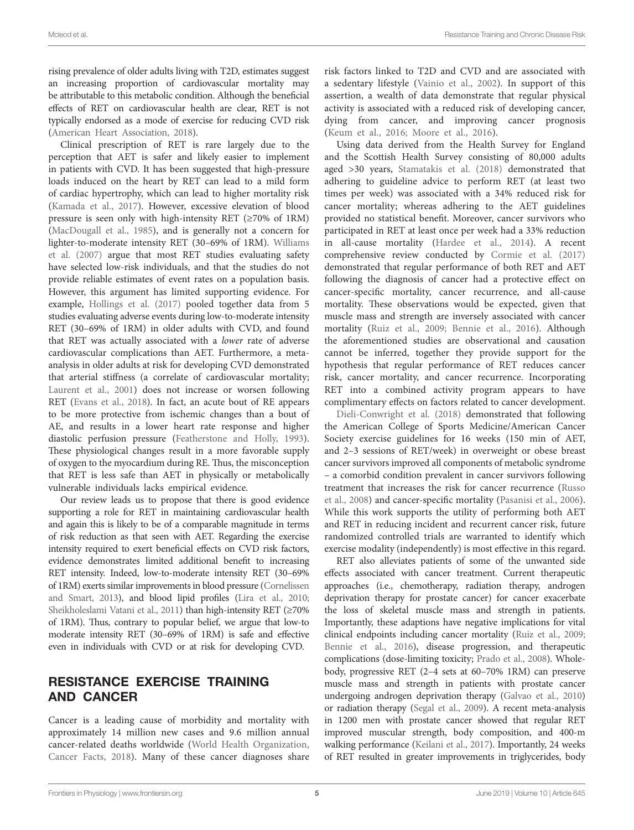rising prevalence of older adults living with T2D, estimates suggest an increasing proportion of cardiovascular mortality may be attributable to this metabolic condition. Although the beneficial effects of RET on cardiovascular health are clear, RET is not typically endorsed as a mode of exercise for reducing CVD risk [\(American Heart Association, 2018\)](#page-7-3).

Clinical prescription of RET is rare largely due to the perception that AET is safer and likely easier to implement in patients with CVD. It has been suggested that high-pressure loads induced on the heart by RET can lead to a mild form of cardiac hypertrophy, which can lead to higher mortality risk ([Kamada et al., 2017](#page-8-21)). However, excessive elevation of blood pressure is seen only with high-intensity RET ( $\geq$ 70% of 1RM) ([MacDougall et al., 1985](#page-9-23)), and is generally not a concern for lighter-to-moderate intensity RET (30–69% of 1RM). [Williams](#page-10-19)  [et al. \(2007\)](#page-10-19) argue that most RET studies evaluating safety have selected low-risk individuals, and that the studies do not provide reliable estimates of event rates on a population basis. However, this argument has limited supporting evidence. For example, [Hollings et al. \(2017\)](#page-8-22) pooled together data from 5 studies evaluating adverse events during low-to-moderate intensity RET (30–69% of 1RM) in older adults with CVD, and found that RET was actually associated with a *lower* rate of adverse cardiovascular complications than AET. Furthermore, a metaanalysis in older adults at risk for developing CVD demonstrated that arterial stiffness (a correlate of cardiovascular mortality; Laurent et al., 2001) does not increase or worsen following RET (Evans et al., 2018). In fact, an acute bout of RE appears to be more protective from ischemic changes than a bout of AE, and results in a lower heart rate response and higher diastolic perfusion pressure [\(Featherstone and Holly, 1993](#page-8-24)). These physiological changes result in a more favorable supply of oxygen to the myocardium during RE. Thus, the misconception that RET is less safe than AET in physically or metabolically vulnerable individuals lacks empirical evidence.

Our review leads us to propose that there is good evidence supporting a role for RET in maintaining cardiovascular health and again this is likely to be of a comparable magnitude in terms of risk reduction as that seen with AET. Regarding the exercise intensity required to exert beneficial effects on CVD risk factors, evidence demonstrates limited additional benefit to increasing RET intensity. Indeed, low-to-moderate intensity RET (30–69% of 1RM) exerts similar improvements in blood pressure ([Cornelissen](#page-7-11)  [and Smart, 2013\)](#page-7-11), and blood lipid profiles ([Lira et al., 2010](#page-9-25); [Sheikholeslami Vatani et al., 2011\)](#page-9-26) than high-intensity RET (≥70% of 1RM). Thus, contrary to popular belief, we argue that low-to moderate intensity RET (30–69% of 1RM) is safe and effective even in individuals with CVD or at risk for developing CVD.

## RESISTANCE EXERCISE TRAINING AND CANCER

Cancer is a leading cause of morbidity and mortality with approximately 14 million new cases and 9.6 million annual cancer-related deaths worldwide ([World Health Organization,](#page-10-20)  [Cancer Facts, 2018](#page-10-20)). Many of these cancer diagnoses share risk factors linked to T2D and CVD and are associated with a sedentary lifestyle ([Vainio et al., 2002\)](#page-10-21). In support of this assertion, a wealth of data demonstrate that regular physical activity is associated with a reduced risk of developing cancer, dying from cancer, and improving cancer prognosis [\(Keum et al., 2016;](#page-8-25) [Moore et al., 2016](#page-9-27)).

Using data derived from the Health Survey for England and the Scottish Health Survey consisting of 80,000 adults aged >30 years, [Stamatakis et al. \(2018\)](#page-10-5) demonstrated that adhering to guideline advice to perform RET (at least two times per week) was associated with a 34% reduced risk for cancer mortality; whereas adhering to the AET guidelines provided no statistical benefit. Moreover, cancer survivors who participated in RET at least once per week had a 33% reduction in all-cause mortality [\(Hardee et al., 2014\)](#page-8-26). A recent comprehensive review conducted by [Cormie et al. \(2017\)](#page-7-13) demonstrated that regular performance of both RET and AET following the diagnosis of cancer had a protective effect on cancer-specific mortality, cancer recurrence, and all-cause mortality. These observations would be expected, given that muscle mass and strength are inversely associated with cancer mortality ([Ruiz et al., 2009](#page-9-28); [Bennie et al., 2016](#page-7-14)). Although the aforementioned studies are observational and causation cannot be inferred, together they provide support for the hypothesis that regular performance of RET reduces cancer risk, cancer mortality, and cancer recurrence. Incorporating RET into a combined activity program appears to have complimentary effects on factors related to cancer development.

[Dieli-Conwright et al. \(2018\)](#page-8-27) demonstrated that following the American College of Sports Medicine/American Cancer Society exercise guidelines for 16 weeks (150 min of AET, and 2–3 sessions of RET/week) in overweight or obese breast cancer survivors improved all components of metabolic syndrome – a comorbid condition prevalent in cancer survivors following treatment that increases the risk for cancer recurrence [\(Russo](#page-9-29)  [et al., 2008](#page-9-29)) and cancer-specific mortality ([Pasanisi et al., 2006](#page-9-30)). While this work supports the utility of performing both AET and RET in reducing incident and recurrent cancer risk, future randomized controlled trials are warranted to identify which exercise modality (independently) is most effective in this regard.

RET also alleviates patients of some of the unwanted side effects associated with cancer treatment. Current therapeutic approaches (i.e., chemotherapy, radiation therapy, androgen deprivation therapy for prostate cancer) for cancer exacerbate the loss of skeletal muscle mass and strength in patients. Importantly, these adaptions have negative implications for vital clinical endpoints including cancer mortality [\(Ruiz et al., 2009;](#page-9-28) [Bennie et al., 2016\)](#page-7-14), disease progression, and therapeutic complications (dose-limiting toxicity; [Prado et al., 2008\)](#page-9-31). Wholebody, progressive RET (2–4 sets at 60–70% 1RM) can preserve muscle mass and strength in patients with prostate cancer undergoing androgen deprivation therapy [\(Galvao et al., 2010\)](#page-8-28) or radiation therapy ([Segal et al., 2009\)](#page-9-32). A recent meta-analysis in 1200 men with prostate cancer showed that regular RET improved muscular strength, body composition, and 400-m walking performance [\(Keilani et al., 2017](#page-8-29)). Importantly, 24 weeks of RET resulted in greater improvements in triglycerides, body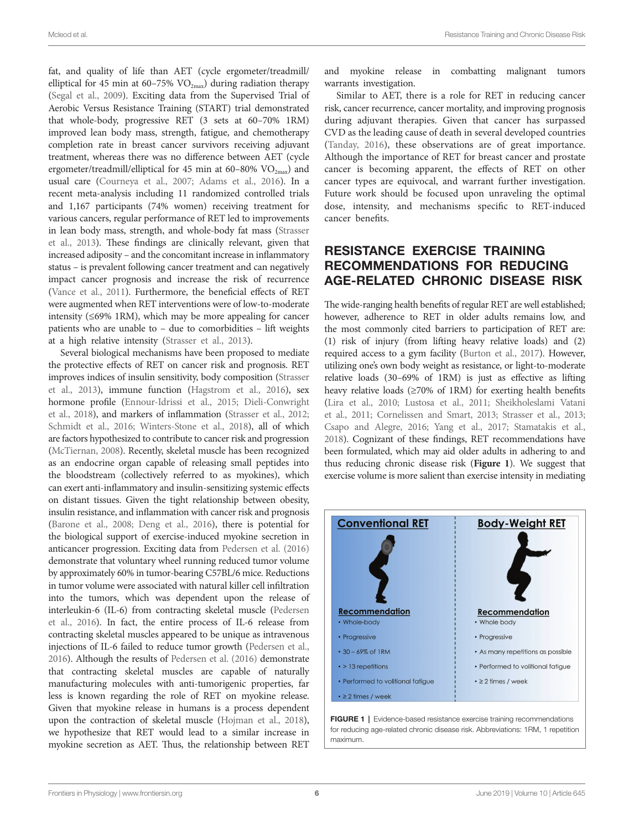fat, and quality of life than AET (cycle ergometer/treadmill/ elliptical for 45 min at 60-75%  $VO_{2max}$ ) during radiation therapy ([Segal et al., 2009\)](#page-9-32). Exciting data from the Supervised Trial of Aerobic Versus Resistance Training (START) trial demonstrated that whole-body, progressive RET (3 sets at 60–70% 1RM) improved lean body mass, strength, fatigue, and chemotherapy completion rate in breast cancer survivors receiving adjuvant treatment, whereas there was no difference between AET (cycle ergometer/treadmill/elliptical for 45 min at 60–80%  $VO_{2max}$ ) and usual care [\(Courneya et al., 2007](#page-7-15); [Adams et al., 2016](#page-7-16)). In a recent meta-analysis including 11 randomized controlled trials and 1,167 participants (74% women) receiving treatment for various cancers, regular performance of RET led to improvements in lean body mass, strength, and whole-body fat mass ([Strasser](#page-10-22)  [et al., 2013\)](#page-10-22). These findings are clinically relevant, given that increased adiposity – and the concomitant increase in inflammatory status – is prevalent following cancer treatment and can negatively impact cancer prognosis and increase the risk of recurrence ([Vance et al., 2011\)](#page-10-23). Furthermore, the beneficial effects of RET were augmented when RET interventions were of low-to-moderate intensity (≤69% 1RM), which may be more appealing for cancer patients who are unable to – due to comorbidities – lift weights at a high relative intensity ([Strasser et al., 2013](#page-10-22)).

Several biological mechanisms have been proposed to mediate the protective effects of RET on cancer risk and prognosis. RET improves indices of insulin sensitivity, body composition ([Strasser](#page-10-22)  [et al., 2013](#page-10-22)), immune function [\(Hagstrom et al., 2016\)](#page-8-30), sex hormone profile [\(Ennour-Idrissi et al., 2015;](#page-8-31) [Dieli-Conwright](#page-8-27)  [et al., 2018](#page-8-27)), and markers of inflammation ([Strasser et al., 2012](#page-10-24); Schmidt et al., 2016; Winters-Stone et al., 2018), all of which are factors hypothesized to contribute to cancer risk and progression ([McTiernan, 2008](#page-9-34)). Recently, skeletal muscle has been recognized as an endocrine organ capable of releasing small peptides into the bloodstream (collectively referred to as myokines), which can exert anti-inflammatory and insulin-sensitizing systemic effects on distant tissues. Given the tight relationship between obesity, insulin resistance, and inflammation with cancer risk and prognosis ([Barone et al., 2008](#page-7-17); [Deng et al., 2016\)](#page-8-32), there is potential for the biological support of exercise-induced myokine secretion in anticancer progression. Exciting data from [Pedersen et al. \(2016\)](#page-9-35) demonstrate that voluntary wheel running reduced tumor volume by approximately 60% in tumor-bearing C57BL/6 mice. Reductions in tumor volume were associated with natural killer cell infiltration into the tumors, which was dependent upon the release of interleukin-6 (IL-6) from contracting skeletal muscle [\(Pedersen](#page-9-35)  [et al., 2016](#page-9-35)). In fact, the entire process of IL-6 release from contracting skeletal muscles appeared to be unique as intravenous injections of IL-6 failed to reduce tumor growth ([Pedersen et al.,](#page-9-35)  [2016](#page-9-35)). Although the results of [Pedersen et al. \(2016\)](#page-9-35) demonstrate that contracting skeletal muscles are capable of naturally manufacturing molecules with anti-tumorigenic properties, far less is known regarding the role of RET on myokine release. Given that myokine release in humans is a process dependent upon the contraction of skeletal muscle [\(Hojman et al., 2018](#page-8-33)), we hypothesize that RET would lead to a similar increase in myokine secretion as AET. Thus, the relationship between RET

and myokine release in combatting malignant tumors warrants investigation.

Similar to AET, there is a role for RET in reducing cancer risk, cancer recurrence, cancer mortality, and improving prognosis during adjuvant therapies. Given that cancer has surpassed CVD as the leading cause of death in several developed countries [\(Tanday, 2016\)](#page-10-0), these observations are of great importance. Although the importance of RET for breast cancer and prostate cancer is becoming apparent, the effects of RET on other cancer types are equivocal, and warrant further investigation. Future work should be focused upon unraveling the optimal dose, intensity, and mechanisms specific to RET-induced cancer benefits.

## RESISTANCE EXERCISE TRAINING RECOMMENDATIONS FOR REDUCING AGE-RELATED CHRONIC DISEASE RISK

The wide-ranging health benefits of regular RET are well established; however, adherence to RET in older adults remains low, and the most commonly cited barriers to participation of RET are: (1) risk of injury (from lifting heavy relative loads) and (2) required access to a gym facility [\(Burton et al., 2017](#page-7-18)). However, utilizing one's own body weight as resistance, or light-to-moderate relative loads (30–69% of 1RM) is just as effective as lifting heavy relative loads (≥70% of 1RM) for exerting health benefits [\(Lira et al., 2010](#page-9-25); [Lustosa et al., 2011](#page-9-8); [Sheikholeslami Vatani](#page-9-26)  [et al., 2011;](#page-9-26) [Cornelissen and Smart, 2013;](#page-7-11) [Strasser et al., 2013;](#page-10-22) [Csapo and Alegre, 2016;](#page-8-34) [Yang et al., 2017;](#page-10-15) [Stamatakis et al.,](#page-10-5)  [2018](#page-10-5)). Cognizant of these findings, RET recommendations have been formulated, which may aid older adults in adhering to and thus reducing chronic disease risk (**[Figure 1](#page-5-0)**). We suggest that exercise volume is more salient than exercise intensity in mediating

<span id="page-5-0"></span>

FIGURE 1 | Evidence-based resistance exercise training recommendations for reducing age-related chronic disease risk. Abbreviations: 1RM, 1 repetition maximum.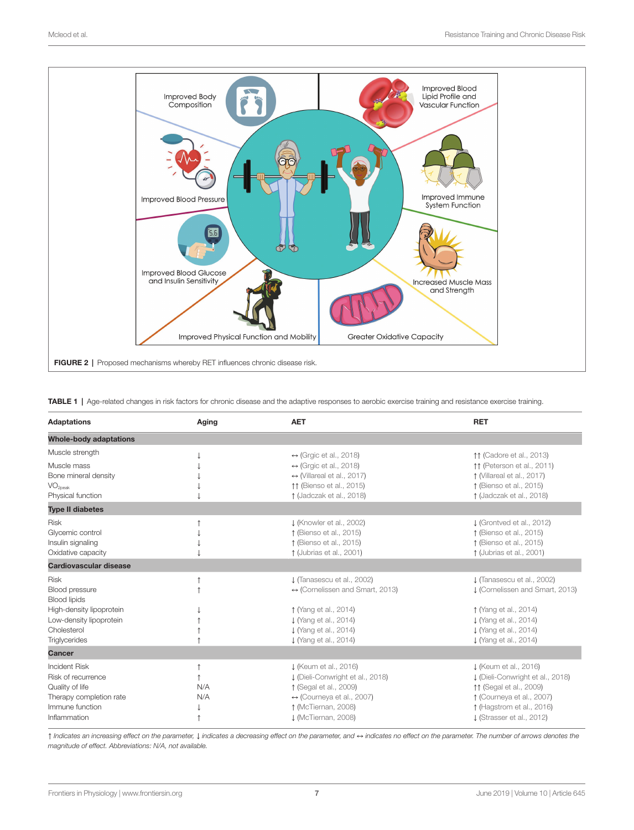<span id="page-6-0"></span>

<span id="page-6-1"></span>TABLE 1 | Age-related changes in risk factors for chronic disease and the adaptive responses to aerobic exercise training and resistance exercise training.

| <b>Adaptations</b>                                                                                                          | Aging      | <b>AET</b>                                                                                                                                                                     | <b>RET</b>                                                                                                                                                                  |
|-----------------------------------------------------------------------------------------------------------------------------|------------|--------------------------------------------------------------------------------------------------------------------------------------------------------------------------------|-----------------------------------------------------------------------------------------------------------------------------------------------------------------------------|
| <b>Whole-body adaptations</b>                                                                                               |            |                                                                                                                                                                                |                                                                                                                                                                             |
| Muscle strength                                                                                                             |            | $\leftrightarrow$ (Grgic et al., 2018)                                                                                                                                         | 11 (Cadore et al., 2013)                                                                                                                                                    |
| Muscle mass<br>Bone mineral density                                                                                         |            | $\leftrightarrow$ (Grgic et al., 2018)<br>$\leftrightarrow$ (Villareal et al., 2017)                                                                                           | 11 (Peterson et al., 2011)<br>1 (Villareal et al., 2017)                                                                                                                    |
| VO <sub>2peak</sub><br>Physical function                                                                                    |            | 11 (Bienso et al., 2015)<br>↑ (Jadczak et al., 2018)                                                                                                                           | ↑ (Bienso et al., 2015)<br>↑ (Jadczak et al., 2018)                                                                                                                         |
| <b>Type II diabetes</b>                                                                                                     |            |                                                                                                                                                                                |                                                                                                                                                                             |
| <b>Risk</b><br>Glycemic control<br>Insulin signaling<br>Oxidative capacity                                                  |            | ↓ (Knowler et al., 2002)<br>1 (Bienso et al., 2015)<br>1 (Bienso et al., 2015)<br>1 (Jubrias et al., 2001)                                                                     | $\downarrow$ (Grontved et al., 2012)<br>1 (Bienso et al., 2015)<br>1 (Bienso et al., 2015)<br>1 (Jubrias et al., 2001)                                                      |
| Cardiovascular disease                                                                                                      |            |                                                                                                                                                                                |                                                                                                                                                                             |
| <b>Risk</b><br>Blood pressure<br>Blood lipids<br>High-density lipoprotein<br>Low-density lipoprotein<br>Cholesterol         |            | J (Tanasescu et al., 2002)<br>$\leftrightarrow$ (Cornelissen and Smart, 2013)<br>1 (Yang et al., 2014)<br>↓ (Yang et al., 2014)<br>↓ (Yang et al., 2014)                       | J (Tanasescu et al., 2002)<br>J (Cornelissen and Smart, 2013)<br>1 (Yang et al., 2014)<br>↓ (Yang et al., 2014)<br>↓ (Yang et al., 2014)                                    |
| Triglycerides                                                                                                               |            | ↓ (Yang et al., 2014)                                                                                                                                                          | ↓ (Yang et al., 2014)                                                                                                                                                       |
| Cancer                                                                                                                      |            |                                                                                                                                                                                |                                                                                                                                                                             |
| <b>Incident Risk</b><br>Risk of recurrence<br>Quality of life<br>Therapy completion rate<br>Immune function<br>Inflammation | N/A<br>N/A | ↓ (Keum et al., 2016)<br>L (Dieli-Conwright et al., 2018)<br>1 (Segal et al., 2009)<br>$\leftrightarrow$ (Courneya et al., 2007)<br>1 (McTiernan, 2008)<br>J (McTiernan, 2008) | ↓ (Keum et al., 2016)<br>J (Dieli-Conwright et al., 2018)<br>11 (Segal et al., 2009)<br>↑ (Courneya et al., 2007)<br>↑ (Hagstrom et al., 2016)<br>J (Strasser et al., 2012) |

↑ *Indicates an increasing effect on the parameter,* ↓ *indicates a decreasing effect on the parameter, and* ↔ *indicates no effect on the parameter. The number of arrows denotes the magnitude of effect. Abbreviations: N/A, not available.*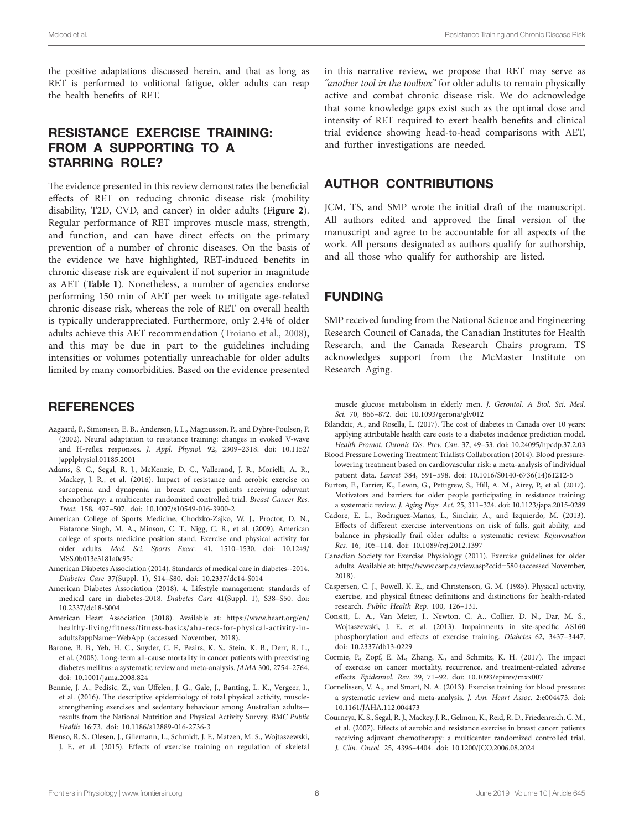the positive adaptations discussed herein, and that as long as RET is performed to volitional fatigue, older adults can reap the health benefits of RET.

## RESISTANCE EXERCISE TRAINING: FROM A SUPPORTING TO A STARRING ROLE?

The evidence presented in this review demonstrates the beneficial effects of RET on reducing chronic disease risk (mobility disability, T2D, CVD, and cancer) in older adults (**[Figure 2](#page-6-0)**). Regular performance of RET improves muscle mass, strength, and function, and can have direct effects on the primary prevention of a number of chronic diseases. On the basis of the evidence we have highlighted, RET-induced benefits in chronic disease risk are equivalent if not superior in magnitude as AET (**[Table 1](#page-6-1)**). Nonetheless, a number of agencies endorse performing 150 min of AET per week to mitigate age-related chronic disease risk, whereas the role of RET on overall health is typically underappreciated. Furthermore, only 2.4% of older adults achieve this AET recommendation ([Troiano et al., 2008](#page-10-26)), and this may be due in part to the guidelines including intensities or volumes potentially unreachable for older adults limited by many comorbidities. Based on the evidence presented

#### **REFERENCES**

- <span id="page-7-4"></span>Aagaard, P., Simonsen, E. B., Andersen, J. L., Magnusson, P., and Dyhre-Poulsen, P. (2002). Neural adaptation to resistance training: changes in evoked V-wave and H-reflex responses. *J. Appl. Physiol.* 92, 2309–2318. doi: [10.1152/](https://doi.org/10.1152/japplphysiol.01185.2001) [japplphysiol.01185.2001](https://doi.org/10.1152/japplphysiol.01185.2001)
- <span id="page-7-16"></span>Adams, S. C., Segal, R. J., McKenzie, D. C., Vallerand, J. R., Morielli, A. R., Mackey, J. R., et al. (2016). Impact of resistance and aerobic exercise on sarcopenia and dynapenia in breast cancer patients receiving adjuvant chemotherapy: a multicenter randomized controlled trial. *Breast Cancer Res. Treat.* 158, 497–507. doi: [10.1007/s10549-016-3900-2](https://doi.org/10.1007/s10549-016-3900-2)
- <span id="page-7-1"></span>American College of Sports Medicine, Chodzko-Zajko, W. J., Proctor, D. N., Fiatarone Singh, M. A., Minson, C. T., Nigg, C. R., et al. (2009). American college of sports medicine position stand. Exercise and physical activity for older adults. *Med. Sci. Sports Exerc.* 41, 1510–1530. doi: [10.1249/](https://doi.org/10.1249/MSS.0b013e3181a0c95c) [MSS.0b013e3181a0c95c](https://doi.org/10.1249/MSS.0b013e3181a0c95c)
- <span id="page-7-6"></span>American Diabetes Association (2014). Standards of medical care in diabetes--2014. *Diabetes Care* 37(Suppl. 1), S14–S80. doi: [10.2337/dc14-S014](https://doi.org/10.2337/dc14-S014)
- <span id="page-7-8"></span>American Diabetes Association (2018). 4. Lifestyle management: standards of medical care in diabetes-2018. *Diabetes Care* 41(Suppl. 1), S38–S50. doi: [10.2337/dc18-S004](https://doi.org/10.2337/dc18-S004)
- <span id="page-7-3"></span>American Heart Association (2018). Available at: [https://www.heart.org/en/](https://www.heart.org/en/healthy-living/fitness/fitness-basics/aha-recs-for-physical-activity-in-adults?appName=WebApp) [healthy-living/fitness/fitness-basics/aha-recs-for-physical-activity-in](https://www.heart.org/en/healthy-living/fitness/fitness-basics/aha-recs-for-physical-activity-in-adults?appName=WebApp)[adults?appName=WebApp](https://www.heart.org/en/healthy-living/fitness/fitness-basics/aha-recs-for-physical-activity-in-adults?appName=WebApp) (accessed November, 2018).
- <span id="page-7-17"></span>Barone, B. B., Yeh, H. C., Snyder, C. F., Peairs, K. S., Stein, K. B., Derr, R. L., et al. (2008). Long-term all-cause mortality in cancer patients with preexisting diabetes mellitus: a systematic review and meta-analysis. *JAMA* 300, 2754–2764. doi: [10.1001/jama.2008.824](https://doi.org/10.1001/jama.2008.824)
- <span id="page-7-14"></span>Bennie, J. A., Pedisic, Z., van Uffelen, J. G., Gale, J., Banting, L. K., Vergeer, I., et al. (2016). The descriptive epidemiology of total physical activity, musclestrengthening exercises and sedentary behaviour among Australian adults results from the National Nutrition and Physical Activity Survey. *BMC Public Health* 16:73. doi: [10.1186/s12889-016-2736-3](https://doi.org/10.1186/s12889-016-2736-3)
- <span id="page-7-10"></span>Bienso, R. S., Olesen, J., Gliemann, L., Schmidt, J. F., Matzen, M. S., Wojtaszewski, J. F., et al. (2015). Effects of exercise training on regulation of skeletal

in this narrative review, we propose that RET may serve as *"another tool in the toolbox"* for older adults to remain physically active and combat chronic disease risk. We do acknowledge that some knowledge gaps exist such as the optimal dose and intensity of RET required to exert health benefits and clinical trial evidence showing head-to-head comparisons with AET, and further investigations are needed.

#### AUTHOR CONTRIBUTIONS

JCM, TS, and SMP wrote the initial draft of the manuscript. All authors edited and approved the final version of the manuscript and agree to be accountable for all aspects of the work. All persons designated as authors qualify for authorship, and all those who qualify for authorship are listed.

#### FUNDING

SMP received funding from the National Science and Engineering Research Council of Canada, the Canadian Institutes for Health Research, and the Canada Research Chairs program. TS acknowledges support from the McMaster Institute on Research Aging.

muscle glucose metabolism in elderly men. *J. Gerontol. A Biol. Sci. Med. Sci.* 70, 866–872. doi: [10.1093/gerona/glv012](https://doi.org/10.1093/gerona/glv012)

- <span id="page-7-7"></span>Bilandzic, A., and Rosella, L. (2017). The cost of diabetes in Canada over 10 years: applying attributable health care costs to a diabetes incidence prediction model. *Health Promot. Chronic Dis. Prev. Can.* 37, 49–53. doi: [10.24095/hpcdp.37.2.03](https://doi.org/10.24095/hpcdp.37.2.03)
- <span id="page-7-12"></span>Blood Pressure Lowering Treatment Trialists Collaboration (2014). Blood pressurelowering treatment based on cardiovascular risk: a meta-analysis of individual patient data. *Lancet* 384, 591–598. doi: [10.1016/S0140-6736\(14\)61212-5](https://doi.org/10.1016/S0140-6736(14)61212-5)
- <span id="page-7-18"></span>Burton, E., Farrier, K., Lewin, G., Pettigrew, S., Hill, A. M., Airey, P., et al. (2017). Motivators and barriers for older people participating in resistance training: a systematic review. *J. Aging Phys. Act.* 25, 311–324. doi: [10.1123/japa.2015-0289](https://doi.org/10.1123/japa.2015-0289)
- <span id="page-7-5"></span>Cadore, E. L., Rodriguez-Manas, L., Sinclair, A., and Izquierdo, M. (2013). Effects of different exercise interventions on risk of falls, gait ability, and balance in physically frail older adults: a systematic review. *Rejuvenation Res.* 16, 105–114. doi: [10.1089/rej.2012.1397](https://doi.org/10.1089/rej.2012.1397)
- <span id="page-7-2"></span>Canadian Society for Exercise Physiology (2011). Exercise guidelines for older adults. Available at:<http://www.csep.ca/view.asp?ccid=580> (accessed November, 2018).
- <span id="page-7-0"></span>Caspersen, C. J., Powell, K. E., and Christenson, G. M. (1985). Physical activity, exercise, and physical fitness: definitions and distinctions for health-related research. *Public Health Rep.* 100, 126–131.
- <span id="page-7-9"></span>Consitt, L. A., Van Meter, J., Newton, C. A., Collier, D. N., Dar, M. S., Wojtaszewski, J. F., et al. (2013). Impairments in site-specific AS160 phosphorylation and effects of exercise training. *Diabetes* 62, 3437–3447. doi: [10.2337/db13-0229](https://doi.org/10.2337/db13-0229)
- <span id="page-7-13"></span>Cormie, P., Zopf, E. M., Zhang, X., and Schmitz, K. H. (2017). The impact of exercise on cancer mortality, recurrence, and treatment-related adverse effects. *Epidemiol. Rev.* 39, 71–92. doi: [10.1093/epirev/mxx007](https://doi.org/10.1093/epirev/mxx007)
- <span id="page-7-11"></span>Cornelissen, V. A., and Smart, N. A. (2013). Exercise training for blood pressure: a systematic review and meta-analysis. *J. Am. Heart Assoc.* 2:e004473. doi: [10.1161/JAHA.112.004473](https://doi.org/10.1161/JAHA.112.004473)
- <span id="page-7-15"></span>Courneya, K. S., Segal, R. J., Mackey, J. R., Gelmon, K., Reid, R. D., Friedenreich, C. M., et al. (2007). Effects of aerobic and resistance exercise in breast cancer patients receiving adjuvant chemotherapy: a multicenter randomized controlled trial. *J. Clin. Oncol.* 25, 4396–4404. doi: [10.1200/JCO.2006.08.2024](https://doi.org/10.1200/JCO.2006.08.2024)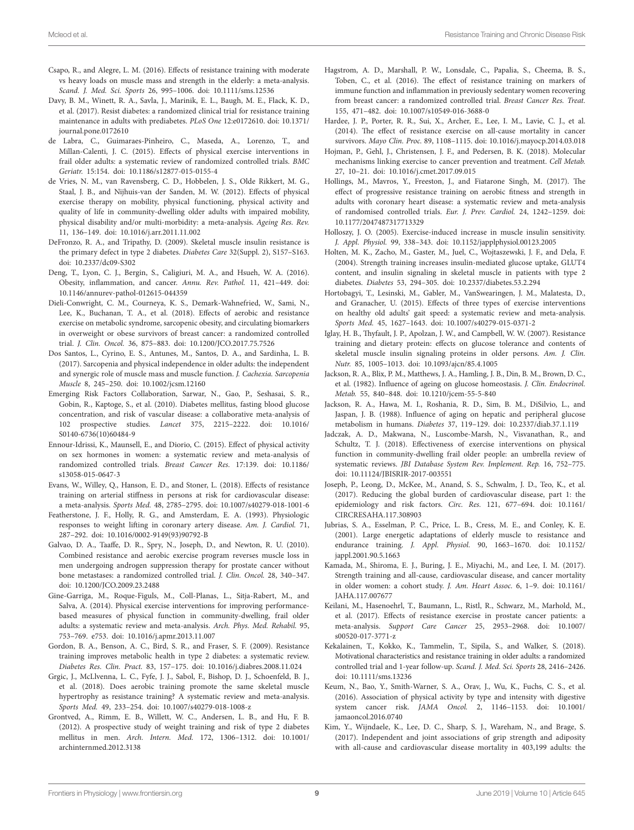- <span id="page-8-34"></span>Csapo, R., and Alegre, L. M. (2016). Effects of resistance training with moderate vs heavy loads on muscle mass and strength in the elderly: a meta-analysis. *Scand. J. Med. Sci. Sports* 26, 995–1006. doi: [10.1111/sms.12536](https://doi.org/10.1111/sms.12536)
- <span id="page-8-11"></span>Davy, B. M., Winett, R. A., Savla, J., Marinik, E. L., Baugh, M. E., Flack, K. D., et al. (2017). Resist diabetes: a randomized clinical trial for resistance training maintenance in adults with prediabetes. *PLoS One* 12:e0172610. doi: [10.1371/](https://doi.org/10.1371/journal.pone.0172610) [journal.pone.0172610](https://doi.org/10.1371/journal.pone.0172610)
- <span id="page-8-3"></span>de Labra, C., Guimaraes-Pinheiro, C., Maseda, A., Lorenzo, T., and Millan-Calenti, J. C. (2015). Effects of physical exercise interventions in frail older adults: a systematic review of randomized controlled trials. *BMC Geriatr.* 15:154. doi: [10.1186/s12877-015-0155-4](https://doi.org/10.1186/s12877-015-0155-4)
- <span id="page-8-0"></span>de Vries, N. M., van Ravensberg, C. D., Hobbelen, J. S., Olde Rikkert, M. G., Staal, J. B., and Nijhuis-van der Sanden, M. W. (2012). Effects of physical exercise therapy on mobility, physical functioning, physical activity and quality of life in community-dwelling older adults with impaired mobility, physical disability and/or multi-morbidity: a meta-analysis. *Ageing Res. Rev.* 11, 136–149. doi: [10.1016/j.arr.2011.11.002](https://doi.org/10.1016/j.arr.2011.11.002)
- <span id="page-8-10"></span>DeFronzo, R. A., and Tripathy, D. (2009). Skeletal muscle insulin resistance is the primary defect in type 2 diabetes. *Diabetes Care* 32(Suppl. 2), S157–S163. doi: [10.2337/dc09-S302](https://doi.org/10.2337/dc09-S302)
- <span id="page-8-32"></span>Deng, T., Lyon, C. J., Bergin, S., Caligiuri, M. A., and Hsueh, W. A. (2016). Obesity, inflammation, and cancer. *Annu. Rev. Pathol.* 11, 421–449. doi: [10.1146/annurev-pathol-012615-044359](https://doi.org/10.1146/annurev-pathol-012615-044359)
- <span id="page-8-27"></span>Dieli-Conwright, C. M., Courneya, K. S., Demark-Wahnefried, W., Sami, N., Lee, K., Buchanan, T. A., et al. (2018). Effects of aerobic and resistance exercise on metabolic syndrome, sarcopenic obesity, and circulating biomarkers in overweight or obese survivors of breast cancer: a randomized controlled trial. *J. Clin. Oncol.* 36, 875–883. doi: [10.1200/JCO.2017.75.7526](https://doi.org/10.1200/JCO.2017.75.7526)
- <span id="page-8-6"></span>Dos Santos, L., Cyrino, E. S., Antunes, M., Santos, D. A., and Sardinha, L. B. (2017). Sarcopenia and physical independence in older adults: the independent and synergic role of muscle mass and muscle function. *J. Cachexia. Sarcopenia Muscle* 8, 245–250. doi: [10.1002/jcsm.12160](https://doi.org/10.1002/jcsm.12160)
- <span id="page-8-20"></span>Emerging Risk Factors Collaboration, Sarwar, N., Gao, P., Seshasai, S. R., Gobin, R., Kaptoge, S., et al. (2010). Diabetes mellitus, fasting blood glucose concentration, and risk of vascular disease: a collaborative meta-analysis of 102 prospective studies. *Lancet* 375, 2215–2222. doi: [10.1016/](https://doi.org/10.1016/S0140-6736(10)60484-9) [S0140-6736\(10\)60484-9](https://doi.org/10.1016/S0140-6736(10)60484-9)
- <span id="page-8-31"></span>Ennour-Idrissi, K., Maunsell, E., and Diorio, C. (2015). Effect of physical activity on sex hormones in women: a systematic review and meta-analysis of randomized controlled trials. *Breast Cancer Res.* 17:139. doi: [10.1186/](https://doi.org/10.1186/s13058-015-0647-3) [s13058-015-0647-3](https://doi.org/10.1186/s13058-015-0647-3)
- <span id="page-8-23"></span>Evans, W., Willey, Q., Hanson, E. D., and Stoner, L. (2018). Effects of resistance training on arterial stiffness in persons at risk for cardiovascular disease: a meta-analysis. *Sports Med.* 48, 2785–2795. doi: [10.1007/s40279-018-1001-6](https://doi.org/10.1007/s40279-018-1001-6)
- <span id="page-8-24"></span>Featherstone, J. F., Holly, R. G., and Amsterdam, E. A. (1993). Physiologic responses to weight lifting in coronary artery disease. *Am. J. Cardiol.* 71, 287–292. doi: [10.1016/0002-9149\(93\)90792-B](https://doi.org/10.1016/0002-9149(93)90792-B)
- <span id="page-8-28"></span>Galvao, D. A., Taaffe, D. R., Spry, N., Joseph, D., and Newton, R. U. (2010). Combined resistance and aerobic exercise program reverses muscle loss in men undergoing androgen suppression therapy for prostate cancer without bone metastases: a randomized controlled trial. *J. Clin. Oncol.* 28, 340–347. doi: [10.1200/JCO.2009.23.2488](https://doi.org/10.1200/JCO.2009.23.2488)
- <span id="page-8-2"></span>Gine-Garriga, M., Roque-Figuls, M., Coll-Planas, L., Sitja-Rabert, M., and Salva, A. (2014). Physical exercise interventions for improving performancebased measures of physical function in community-dwelling, frail older adults: a systematic review and meta-analysis. *Arch. Phys. Med. Rehabil.* 95, 753–769. e753. doi: [10.1016/j.apmr.2013.11.007](https://doi.org/10.1016/j.apmr.2013.11.007)
- <span id="page-8-13"></span>Gordon, B. A., Benson, A. C., Bird, S. R., and Fraser, S. F. (2009). Resistance training improves metabolic health in type 2 diabetes: a systematic review. *Diabetes Res. Clin. Pract.* 83, 157–175. doi: [10.1016/j.diabres.2008.11.024](https://doi.org/10.1016/j.diabres.2008.11.024)
- <span id="page-8-7"></span>Grgic, J., McLlvenna, L. C., Fyfe, J. J., Sabol, F., Bishop, D. J., Schoenfeld, B. J., et al. (2018). Does aerobic training promote the same skeletal muscle hypertrophy as resistance training? A systematic review and meta-analysis. *Sports Med.* 49, 233–254. doi: [10.1007/s40279-018-1008-z](https://doi.org/10.1007/s40279-018-1008-z)
- <span id="page-8-1"></span>Grontved, A., Rimm, E. B., Willett, W. C., Andersen, L. B., and Hu, F. B. (2012). A prospective study of weight training and risk of type 2 diabetes mellitus in men. *Arch. Intern. Med.* 172, 1306–1312. doi: [10.1001/](https://doi.org/10.1001/archinternmed.2012.3138) [archinternmed.2012.3138](https://doi.org/10.1001/archinternmed.2012.3138)
- <span id="page-8-30"></span>Hagstrom, A. D., Marshall, P. W., Lonsdale, C., Papalia, S., Cheema, B. S., Toben, C., et al. (2016). The effect of resistance training on markers of immune function and inflammation in previously sedentary women recovering from breast cancer: a randomized controlled trial. *Breast Cancer Res. Treat.* 155, 471–482. doi: [10.1007/s10549-016-3688-0](https://doi.org/10.1007/s10549-016-3688-0)
- <span id="page-8-26"></span>Hardee, J. P., Porter, R. R., Sui, X., Archer, E., Lee, I. M., Lavie, C. J., et al. (2014). The effect of resistance exercise on all-cause mortality in cancer survivors. *Mayo Clin. Proc.* 89, 1108–1115. doi: [10.1016/j.mayocp.2014.03.018](https://doi.org/10.1016/j.mayocp.2014.03.018)
- <span id="page-8-33"></span>Hojman, P., Gehl, J., Christensen, J. F., and Pedersen, B. K. (2018). Molecular mechanisms linking exercise to cancer prevention and treatment. *Cell Metab.* 27, 10–21. doi: [10.1016/j.cmet.2017.09.015](https://doi.org/10.1016/j.cmet.2017.09.015)
- <span id="page-8-22"></span>Hollings, M., Mavros, Y., Freeston, J., and Fiatarone Singh, M. (2017). The effect of progressive resistance training on aerobic fitness and strength in adults with coronary heart disease: a systematic review and meta-analysis of randomised controlled trials. *Eur. J. Prev. Cardiol.* 24, 1242–1259. doi: [10.1177/2047487317713329](https://doi.org/10.1177/2047487317713329)
- <span id="page-8-14"></span>Holloszy, J. O. (2005). Exercise-induced increase in muscle insulin sensitivity. *J. Appl. Physiol.* 99, 338–343. doi: [10.1152/japplphysiol.00123.2005](https://doi.org/10.1152/japplphysiol.00123.2005)
- <span id="page-8-15"></span>Holten, M. K., Zacho, M., Gaster, M., Juel, C., Wojtaszewski, J. F., and Dela, F. (2004). Strength training increases insulin-mediated glucose uptake, GLUT4 content, and insulin signaling in skeletal muscle in patients with type 2 diabetes. *Diabetes* 53, 294–305. doi: [10.2337/diabetes.53.2.294](https://doi.org/10.2337/diabetes.53.2.294)
- <span id="page-8-5"></span>Hortobagyi, T., Lesinski, M., Gabler, M., VanSwearingen, J. M., Malatesta, D., and Granacher, U. (2015). Effects of three types of exercise interventions on healthy old adults' gait speed: a systematic review and meta-analysis. *Sports Med.* 45, 1627–1643. doi: [10.1007/s40279-015-0371-2](https://doi.org/10.1007/s40279-015-0371-2)
- <span id="page-8-12"></span>Iglay, H. B., Thyfault, J. P., Apolzan, J. W., and Campbell, W. W. (2007). Resistance training and dietary protein: effects on glucose tolerance and contents of skeletal muscle insulin signaling proteins in older persons. *Am. J. Clin. Nutr.* 85, 1005–1013. doi: [10.1093/ajcn/85.4.1005](https://doi.org/10.1093/ajcn/85.4.1005)
- <span id="page-8-9"></span>Jackson, R. A., Blix, P. M., Matthews, J. A., Hamling, J. B., Din, B. M., Brown, D. C., et al. (1982). Influence of ageing on glucose homeostasis. *J. Clin. Endocrinol. Metab.* 55, 840–848. doi: [10.1210/jcem-55-5-840](https://doi.org/10.1210/jcem-55-5-840)
- <span id="page-8-16"></span>Jackson, R. A., Hawa, M. I., Roshania, R. D., Sim, B. M., DiSilvio, L., and Jaspan, J. B. (1988). Influence of aging on hepatic and peripheral glucose metabolism in humans. *Diabetes* 37, 119–129. doi: [10.2337/diab.37.1.119](https://doi.org/10.2337/diab.37.1.119)
- <span id="page-8-4"></span>Jadczak, A. D., Makwana, N., Luscombe-Marsh, N., Visvanathan, R., and Schultz, T. J. (2018). Effectiveness of exercise interventions on physical function in community-dwelling frail older people: an umbrella review of systematic reviews. *JBI Database System Rev. Implement. Rep.* 16, 752–775. doi: [10.11124/JBISRIR-2017-003551](https://doi.org/10.11124/JBISRIR-2017-003551)
- <span id="page-8-19"></span>Joseph, P., Leong, D., McKee, M., Anand, S. S., Schwalm, J. D., Teo, K., et al. (2017). Reducing the global burden of cardiovascular disease, part 1: the epidemiology and risk factors. *Circ. Res.* 121, 677–694. doi: [10.1161/](https://doi.org/10.1161/CIRCRESAHA.117.308903) [CIRCRESAHA.117.308903](https://doi.org/10.1161/CIRCRESAHA.117.308903)
- <span id="page-8-17"></span>Jubrias, S. A., Esselman, P. C., Price, L. B., Cress, M. E., and Conley, K. E. (2001). Large energetic adaptations of elderly muscle to resistance and endurance training. *J. Appl. Physiol.* 90, 1663–1670. doi: [10.1152/](https://doi.org/10.1152/jappl.2001.90.5.1663) [jappl.2001.90.5.1663](https://doi.org/10.1152/jappl.2001.90.5.1663)
- <span id="page-8-21"></span>Kamada, M., Shiroma, E. J., Buring, J. E., Miyachi, M., and Lee, I. M. (2017). Strength training and all-cause, cardiovascular disease, and cancer mortality in older women: a cohort study. *J. Am. Heart Assoc.* 6, 1–9. doi: [10.1161/](https://doi.org/10.1161/JAHA.117.007677) [JAHA.117.007677](https://doi.org/10.1161/JAHA.117.007677)
- <span id="page-8-29"></span>Keilani, M., Hasenoehrl, T., Baumann, L., Ristl, R., Schwarz, M., Marhold, M., et al. (2017). Effects of resistance exercise in prostate cancer patients: a meta-analysis. *Support Care Cancer* 25, 2953–2968. doi: [10.1007/](https://doi.org/10.1007/s00520-017-3771-z) [s00520-017-3771-z](https://doi.org/10.1007/s00520-017-3771-z)
- <span id="page-8-8"></span>Kekalainen, T., Kokko, K., Tammelin, T., Sipila, S., and Walker, S. (2018). Motivational characteristics and resistance training in older adults: a randomized controlled trial and 1-year follow-up. *Scand. J. Med. Sci. Sports* 28, 2416–2426. doi: [10.1111/sms.13236](https://doi.org/10.1111/sms.13236)
- <span id="page-8-25"></span>Keum, N., Bao, Y., Smith-Warner, S. A., Orav, J., Wu, K., Fuchs, C. S., et al. (2016). Association of physical activity by type and intensity with digestive system cancer risk. *JAMA Oncol.* 2, 1146–1153. doi: [10.1001/](https://doi.org/10.1001/jamaoncol.2016.0740) [jamaoncol.2016.0740](https://doi.org/10.1001/jamaoncol.2016.0740)
- <span id="page-8-18"></span>Kim, Y., Wijndaele, K., Lee, D. C., Sharp, S. J., Wareham, N., and Brage, S. (2017). Independent and joint associations of grip strength and adiposity with all-cause and cardiovascular disease mortality in 403,199 adults: the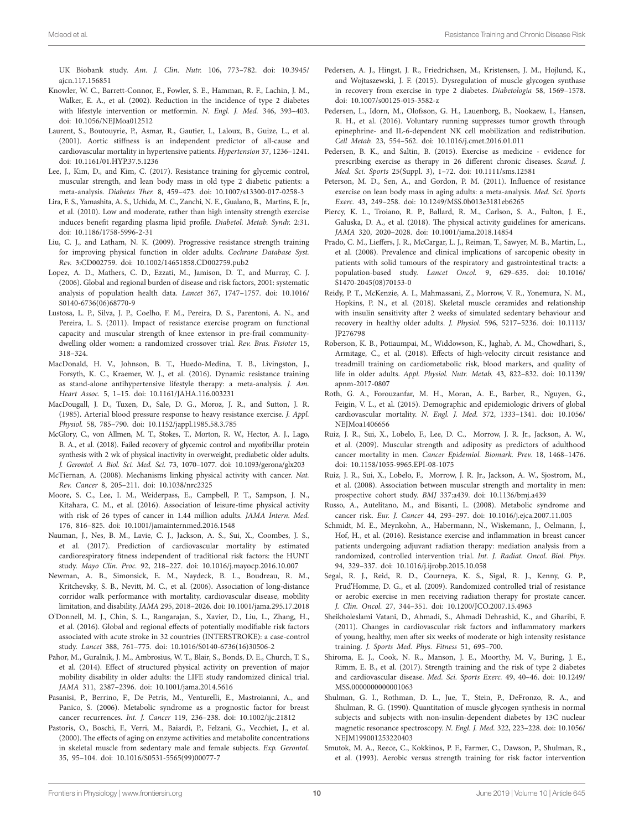UK Biobank study. *Am. J. Clin. Nutr.* 106, 773–782. doi: [10.3945/](https://doi.org/10.3945/ajcn.117.156851) [ajcn.117.156851](https://doi.org/10.3945/ajcn.117.156851)

- <span id="page-9-11"></span>Knowler, W. C., Barrett-Connor, E., Fowler, S. E., Hamman, R. F., Lachin, J. M., Walker, E. A., et al. (2002). Reduction in the incidence of type 2 diabetes with lifestyle intervention or metformin. *N. Engl. J. Med.* 346, 393–403. doi: [10.1056/NEJMoa012512](https://doi.org/10.1056/NEJMoa012512)
- <span id="page-9-24"></span>Laurent, S., Boutouyrie, P., Asmar, R., Gautier, I., Laloux, B., Guize, L., et al. (2001). Aortic stiffness is an independent predictor of all-cause and cardiovascular mortality in hypertensive patients. *Hypertension* 37, 1236–1241. doi: [10.1161/01.HYP.37.5.1236](https://doi.org/10.1161/01.HYP.37.5.1236)
- <span id="page-9-12"></span>Lee, J., Kim, D., and Kim, C. (2017). Resistance training for glycemic control, muscular strength, and lean body mass in old type 2 diabetic patients: a meta-analysis. *Diabetes Ther.* 8, 459–473. doi: [10.1007/s13300-017-0258-3](https://doi.org/10.1007/s13300-017-0258-3)
- <span id="page-9-25"></span>Lira, F. S., Yamashita, A. S., Uchida, M. C., Zanchi, N. E., Gualano, B., Martins, E. Jr., et al. (2010). Low and moderate, rather than high intensity strength exercise induces benefit regarding plasma lipid profile. *Diabetol. Metab. Syndr.* 2:31. doi: [10.1186/1758-5996-2-31](https://doi.org/10.1186/1758-5996-2-31)
- <span id="page-9-5"></span>Liu, C. J., and Latham, N. K. (2009). Progressive resistance strength training for improving physical function in older adults. *Cochrane Database Syst. Rev.* 3:CD002759. doi: [10.1002/14651858.CD002759.pub2](https://doi.org/10.1002/14651858.CD002759.pub2)
- <span id="page-9-21"></span>Lopez, A. D., Mathers, C. D., Ezzati, M., Jamison, D. T., and Murray, C. J. (2006). Global and regional burden of disease and risk factors, 2001: systematic analysis of population health data. *Lancet* 367, 1747–1757. doi: [10.1016/](https://doi.org/10.1016/S0140-6736(06)68770-9) [S0140-6736\(06\)68770-9](https://doi.org/10.1016/S0140-6736(06)68770-9)
- <span id="page-9-8"></span>Lustosa, L. P., Silva, J. P., Coelho, F. M., Pereira, D. S., Parentoni, A. N., and Pereira, L. S. (2011). Impact of resistance exercise program on functional capacity and muscular strength of knee extensor in pre-frail communitydwelling older women: a randomized crossover trial. *Rev. Bras. Fisioter* 15, 318–324.
- <span id="page-9-22"></span>MacDonald, H. V., Johnson, B. T., Huedo-Medina, T. B., Livingston, J., Forsyth, K. C., Kraemer, W. J., et al. (2016). Dynamic resistance training as stand-alone antihypertensive lifestyle therapy: a meta-analysis. *J. Am. Heart Assoc.* 5, 1–15. doi: [10.1161/JAHA.116.003231](https://doi.org/10.1161/JAHA.116.003231)
- <span id="page-9-23"></span>MacDougall, J. D., Tuxen, D., Sale, D. G., Moroz, J. R., and Sutton, J. R. (1985). Arterial blood pressure response to heavy resistance exercise. *J. Appl. Physiol.* 58, 785–790. doi: [10.1152/jappl.1985.58.3.785](https://doi.org/10.1152/jappl.1985.58.3.785)
- <span id="page-9-9"></span>McGlory, C., von Allmen, M. T., Stokes, T., Morton, R. W., Hector, A. J., Lago, B. A., et al. (2018). Failed recovery of glycemic control and myofibrillar protein synthesis with 2 wk of physical inactivity in overweight, prediabetic older adults. *J. Gerontol. A Biol. Sci. Med. Sci.* 73, 1070–1077. doi: [10.1093/gerona/glx203](https://doi.org/10.1093/gerona/glx203)
- <span id="page-9-34"></span>McTiernan, A. (2008). Mechanisms linking physical activity with cancer. *Nat. Rev. Cancer* 8, 205–211. doi: [10.1038/nrc2325](https://doi.org/10.1038/nrc2325)
- <span id="page-9-27"></span>Moore, S. C., Lee, I. M., Weiderpass, E., Campbell, P. T., Sampson, J. N., Kitahara, C. M., et al. (2016). Association of leisure-time physical activity with risk of 26 types of cancer in 1.44 million adults. *JAMA Intern. Med.* 176, 816–825. doi: [10.1001/jamainternmed.2016.1548](https://doi.org/10.1001/jamainternmed.2016.1548)
- <span id="page-9-17"></span>Nauman, J., Nes, B. M., Lavie, C. J., Jackson, A. S., Sui, X., Coombes, J. S., et al. (2017). Prediction of cardiovascular mortality by estimated cardiorespiratory fitness independent of traditional risk factors: the HUNT study. *Mayo Clin. Proc.* 92, 218–227. doi: [10.1016/j.mayocp.2016.10.007](https://doi.org/10.1016/j.mayocp.2016.10.007)
- <span id="page-9-1"></span>Newman, A. B., Simonsick, E. M., Naydeck, B. L., Boudreau, R. M., Kritchevsky, S. B., Nevitt, M. C., et al. (2006). Association of long-distance corridor walk performance with mortality, cardiovascular disease, mobility limitation, and disability. *JAMA* 295, 2018–2026. doi: [10.1001/jama.295.17.2018](https://doi.org/10.1001/jama.295.17.2018)
- <span id="page-9-16"></span>O'Donnell, M. J., Chin, S. L., Rangarajan, S., Xavier, D., Liu, L., Zhang, H., et al. (2016). Global and regional effects of potentially modifiable risk factors associated with acute stroke in 32 countries (INTERSTROKE): a case-control study. *Lancet* 388, 761–775. doi: [10.1016/S0140-6736\(16\)30506-2](https://doi.org/10.1016/S0140-6736(16)30506-2)
- <span id="page-9-3"></span>Pahor, M., Guralnik, J. M., Ambrosius, W. T., Blair, S., Bonds, D. E., Church, T. S., et al. (2014). Effect of structured physical activity on prevention of major mobility disability in older adults: the LIFE study randomized clinical trial. *JAMA* 311, 2387–2396. doi: [10.1001/jama.2014.5616](https://doi.org/10.1001/jama.2014.5616)
- <span id="page-9-30"></span>Pasanisi, P., Berrino, F., De Petris, M., Venturelli, E., Mastroianni, A., and Panico, S. (2006). Metabolic syndrome as a prognostic factor for breast cancer recurrences. *Int. J. Cancer* 119, 236–238. doi: [10.1002/ijc.21812](https://doi.org/10.1002/ijc.21812)
- <span id="page-9-15"></span>Pastoris, O., Boschi, F., Verri, M., Baiardi, P., Felzani, G., Vecchiet, J., et al. (2000). The effects of aging on enzyme activities and metabolite concentrations in skeletal muscle from sedentary male and female subjects. *Exp. Gerontol.* 35, 95–104. doi: [10.1016/S0531-5565\(99\)00077-7](https://doi.org/10.1016/S0531-5565(99)00077-7)
- <span id="page-9-14"></span>Pedersen, A. J., Hingst, J. R., Friedrichsen, M., Kristensen, J. M., Hojlund, K., and Wojtaszewski, J. F. (2015). Dysregulation of muscle glycogen synthase in recovery from exercise in type 2 diabetes. *Diabetologia* 58, 1569–1578. doi: [10.1007/s00125-015-3582-z](https://doi.org/10.1007/s00125-015-3582-z)
- <span id="page-9-35"></span>Pedersen, L., Idorn, M., Olofsson, G. H., Lauenborg, B., Nookaew, I., Hansen, R. H., et al. (2016). Voluntary running suppresses tumor growth through epinephrine- and IL-6-dependent NK cell mobilization and redistribution. *Cell Metab.* 23, 554–562. doi: [10.1016/j.cmet.2016.01.011](https://doi.org/10.1016/j.cmet.2016.01.011)
- <span id="page-9-2"></span>Pedersen, B. K., and Saltin, B. (2015). Exercise as medicine - evidence for prescribing exercise as therapy in 26 different chronic diseases. *Scand. J. Med. Sci. Sports* 25(Suppl. 3), 1–72. doi: [10.1111/sms.12581](https://doi.org/10.1111/sms.12581)
- <span id="page-9-6"></span>Peterson, M. D., Sen, A., and Gordon, P. M. (2011). Influence of resistance exercise on lean body mass in aging adults: a meta-analysis. *Med. Sci. Sports Exerc.* 43, 249–258. doi: [10.1249/MSS.0b013e3181eb6265](https://doi.org/10.1249/MSS.0b013e3181eb6265)
- <span id="page-9-4"></span>Piercy, K. L., Troiano, R. P., Ballard, R. M., Carlson, S. A., Fulton, J. E., Galuska, D. A., et al. (2018). The physical activity guidelines for americans. *JAMA* 320, 2020–2028. doi: [10.1001/jama.2018.14854](https://doi.org/10.1001/jama.2018.14854)
- <span id="page-9-31"></span>Prado, C. M., Lieffers, J. R., McCargar, L. J., Reiman, T., Sawyer, M. B., Martin, L., et al. (2008). Prevalence and clinical implications of sarcopenic obesity in patients with solid tumours of the respiratory and gastrointestinal tracts: a population-based study. *Lancet Oncol.* 9, 629–635. doi: [10.1016/](https://doi.org/10.1016/S1470-2045(08)70153-0) [S1470-2045\(08\)70153-0](https://doi.org/10.1016/S1470-2045(08)70153-0)
- <span id="page-9-10"></span>Reidy, P. T., McKenzie, A. I., Mahmassani, Z., Morrow, V. R., Yonemura, N. M., Hopkins, P. N., et al. (2018). Skeletal muscle ceramides and relationship with insulin sensitivity after 2 weeks of simulated sedentary behaviour and recovery in healthy older adults. *J. Physiol.* 596, 5217–5236. doi: [10.1113/](https://doi.org/10.1113/JP276798) [JP276798](https://doi.org/10.1113/JP276798)
- <span id="page-9-7"></span>Roberson, K. B., Potiaumpai, M., Widdowson, K., Jaghab, A. M., Chowdhari, S., Armitage, C., et al. (2018). Effects of high-velocity circuit resistance and treadmill training on cardiometabolic risk, blood markers, and quality of life in older adults. *Appl. Physiol. Nutr. Metab.* 43, 822–832. doi: [10.1139/](https://doi.org/10.1139/apnm-2017-0807) [apnm-2017-0807](https://doi.org/10.1139/apnm-2017-0807)
- <span id="page-9-0"></span>Roth, G. A., Forouzanfar, M. H., Moran, A. E., Barber, R., Nguyen, G., Feigin, V. L., et al. (2015). Demographic and epidemiologic drivers of global cardiovascular mortality. *N. Engl. J. Med.* 372, 1333–1341. doi: [10.1056/](https://doi.org/10.1056/NEJMoa1406656) [NEJMoa1406656](https://doi.org/10.1056/NEJMoa1406656)
- <span id="page-9-28"></span>Ruiz, J. R., Sui, X., Lobelo, F., Lee, D. C., Morrow, J. R. Jr., Jackson, A. W., et al. (2009). Muscular strength and adiposity as predictors of adulthood cancer mortality in men. *Cancer Epidemiol. Biomark. Prev.* 18, 1468–1476. doi: [10.1158/1055-9965.EPI-08-1075](https://doi.org/10.1158/1055-9965.EPI-08-1075)
- <span id="page-9-18"></span>Ruiz, J. R., Sui, X., Lobelo, F., Morrow, J. R. Jr., Jackson, A. W., Sjostrom, M., et al. (2008). Association between muscular strength and mortality in men: prospective cohort study. *BMJ* 337:a439. doi: [10.1136/bmj.a439](https://doi.org/10.1136/bmj.a439)
- <span id="page-9-29"></span>Russo, A., Autelitano, M., and Bisanti, L. (2008). Metabolic syndrome and cancer risk. *Eur. J. Cancer* 44, 293–297. doi: [10.1016/j.ejca.2007.11.005](https://doi.org/10.1016/j.ejca.2007.11.005)
- <span id="page-9-33"></span>Schmidt, M. E., Meynkohn, A., Habermann, N., Wiskemann, J., Oelmann, J., Hof, H., et al. (2016). Resistance exercise and inflammation in breast cancer patients undergoing adjuvant radiation therapy: mediation analysis from a randomized, controlled intervention trial. *Int. J. Radiat. Oncol. Biol. Phys.* 94, 329–337. doi: [10.1016/j.ijrobp.2015.10.058](https://doi.org/10.1016/j.ijrobp.2015.10.058)
- <span id="page-9-32"></span>Segal, R. J., Reid, R. D., Courneya, K. S., Sigal, R. J., Kenny, G. P., Prud'Homme, D. G., et al. (2009). Randomized controlled trial of resistance or aerobic exercise in men receiving radiation therapy for prostate cancer. *J. Clin. Oncol.* 27, 344–351. doi: [10.1200/JCO.2007.15.4963](https://doi.org/10.1200/JCO.2007.15.4963)
- <span id="page-9-26"></span>Sheikholeslami Vatani, D., Ahmadi, S., Ahmadi Dehrashid, K., and Gharibi, F. (2011). Changes in cardiovascular risk factors and inflammatory markers of young, healthy, men after six weeks of moderate or high intensity resistance training. *J. Sports Med. Phys. Fitness* 51, 695–700.
- <span id="page-9-19"></span>Shiroma, E. J., Cook, N. R., Manson, J. E., Moorthy, M. V., Buring, J. E., Rimm, E. B., et al. (2017). Strength training and the risk of type 2 diabetes and cardiovascular disease. *Med. Sci. Sports Exerc.* 49, 40–46. doi: [10.1249/](https://doi.org/10.1249/MSS.0000000000001063) [MSS.0000000000001063](https://doi.org/10.1249/MSS.0000000000001063)
- <span id="page-9-13"></span>Shulman, G. I., Rothman, D. L., Jue, T., Stein, P., DeFronzo, R. A., and Shulman, R. G. (1990). Quantitation of muscle glycogen synthesis in normal subjects and subjects with non-insulin-dependent diabetes by 13C nuclear magnetic resonance spectroscopy. *N. Engl. J. Med.* 322, 223–228. doi: [10.1056/](https://doi.org/10.1056/NEJM199001253220403) [NEJM199001253220403](https://doi.org/10.1056/NEJM199001253220403)
- <span id="page-9-20"></span>Smutok, M. A., Reece, C., Kokkinos, P. F., Farmer, C., Dawson, P., Shulman, R., et al. (1993). Aerobic versus strength training for risk factor intervention